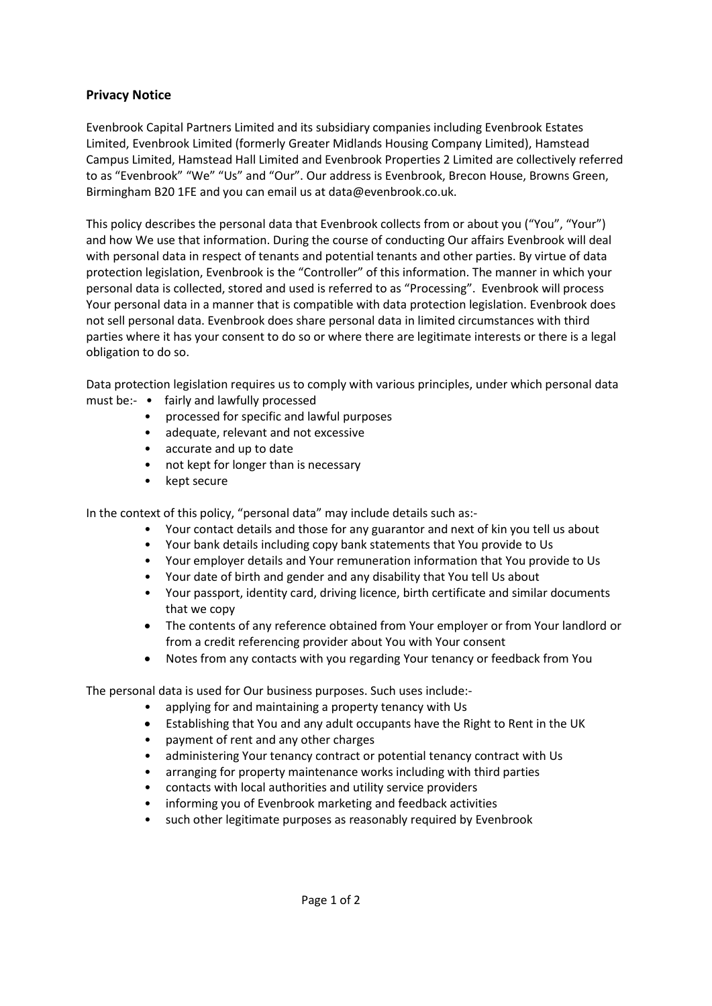## **Privacy Notice**

Evenbrook Capital Partners Limited and its subsidiary companies including Evenbrook Estates Limited, Evenbrook Limited (formerly Greater Midlands Housing Company Limited), Hamstead Campus Limited, Hamstead Hall Limited and Evenbrook Properties 2 Limited are collectively referred to as "Evenbrook" "We" "Us" and "Our". Our address is Evenbrook, Brecon House, Browns Green, Birmingham B20 1FE and you can email us at data@evenbrook.co.uk.

This policy describes the personal data that Evenbrook collects from or about you ("You", "Your") and how We use that information. During the course of conducting Our affairs Evenbrook will deal with personal data in respect of tenants and potential tenants and other parties. By virtue of data protection legislation, Evenbrook is the "Controller" of this information. The manner in which your personal data is collected, stored and used is referred to as "Processing". Evenbrook will process Your personal data in a manner that is compatible with data protection legislation. Evenbrook does not sell personal data. Evenbrook does share personal data in limited circumstances with third parties where it has your consent to do so or where there are legitimate interests or there is a legal obligation to do so.

Data protection legislation requires us to comply with various principles, under which personal data

- must be:- fairly and lawfully processed
	- processed for specific and lawful purposes
	- adequate, relevant and not excessive
	- accurate and up to date
	- not kept for longer than is necessary
	- kept secure

In the context of this policy, "personal data" may include details such as:-

- Your contact details and those for any guarantor and next of kin you tell us about
- Your bank details including copy bank statements that You provide to Us
- Your employer details and Your remuneration information that You provide to Us
- Your date of birth and gender and any disability that You tell Us about
- Your passport, identity card, driving licence, birth certificate and similar documents that we copy
- The contents of any reference obtained from Your employer or from Your landlord or from a credit referencing provider about You with Your consent
- Notes from any contacts with you regarding Your tenancy or feedback from You

The personal data is used for Our business purposes. Such uses include:-

- applying for and maintaining a property tenancy with Us
- Establishing that You and any adult occupants have the Right to Rent in the UK
- payment of rent and any other charges
- administering Your tenancy contract or potential tenancy contract with Us
- arranging for property maintenance works including with third parties
- contacts with local authorities and utility service providers
- informing you of Evenbrook marketing and feedback activities
- such other legitimate purposes as reasonably required by Evenbrook